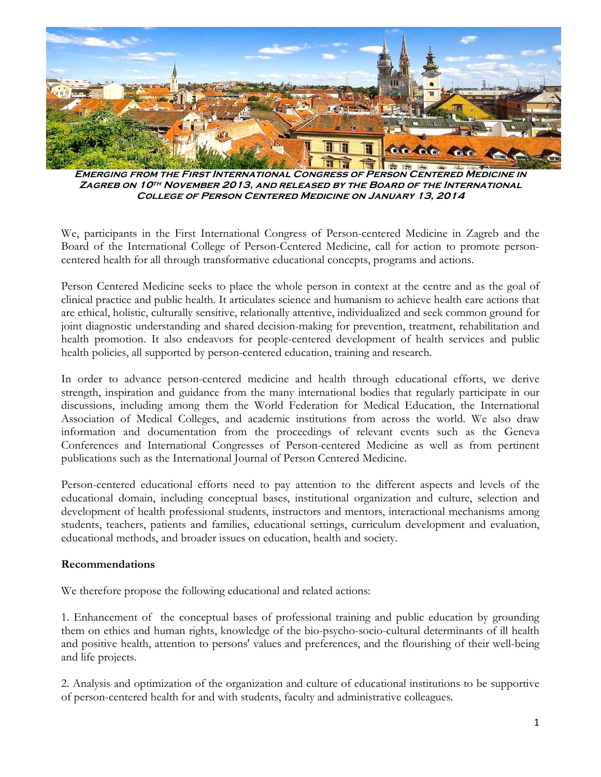

**Emerging from the First International Congress of Person Centered Medicine in Zagreb on 10th November 2013, and released by the Board of the International College of Person Centered Medicine on January 13, 2014**

We, participants in the First International Congress of Person-centered Medicine in Zagreb and the Board of the International College of Person-Centered Medicine, call for action to promote personcentered health for all through transformative educational concepts, programs and actions.

Person Centered Medicine seeks to place the whole person in context at the centre and as the goal of clinical practice and public health. It articulates science and humanism to achieve health care actions that are ethical, holistic, culturally sensitive, relationally attentive, individualized and seek common ground for joint diagnostic understanding and shared decision-making for prevention, treatment, rehabilitation and health promotion. It also endeavors for people-centered development of health services and public health policies, all supported by person-centered education, training and research.

In order to advance person-centered medicine and health through educational efforts, we derive strength, inspiration and guidance from the many international bodies that regularly participate in our discussions, including among them the World Federation for Medical Education, the International Association of Medical Colleges, and academic institutions from across the world. We also draw information and documentation from the proceedings of relevant events such as the Geneva Conferences and International Congresses of Person-centered Medicine as well as from pertinent publications such as the International Journal of Person Centered Medicine.

Person-centered educational efforts need to pay attention to the different aspects and levels of the educational domain, including conceptual bases, institutional organization and culture, selection and development of health professional students, instructors and mentors, interactional mechanisms among students, teachers, patients and families, educational settings, curriculum development and evaluation, educational methods, and broader issues on education, health and society.

## **Recommendations**

We therefore propose the following educational and related actions:

1. Enhancement of the conceptual bases of professional training and public education by grounding them on ethics and human rights, knowledge of the bio-psycho-socio-cultural determinants of ill health and positive health, attention to persons' values and preferences, and the flourishing of their well-being and life projects.

2. Analysis and optimization of the organization and culture of educational institutions to be supportive of person-centered health for and with students, faculty and administrative colleagues.